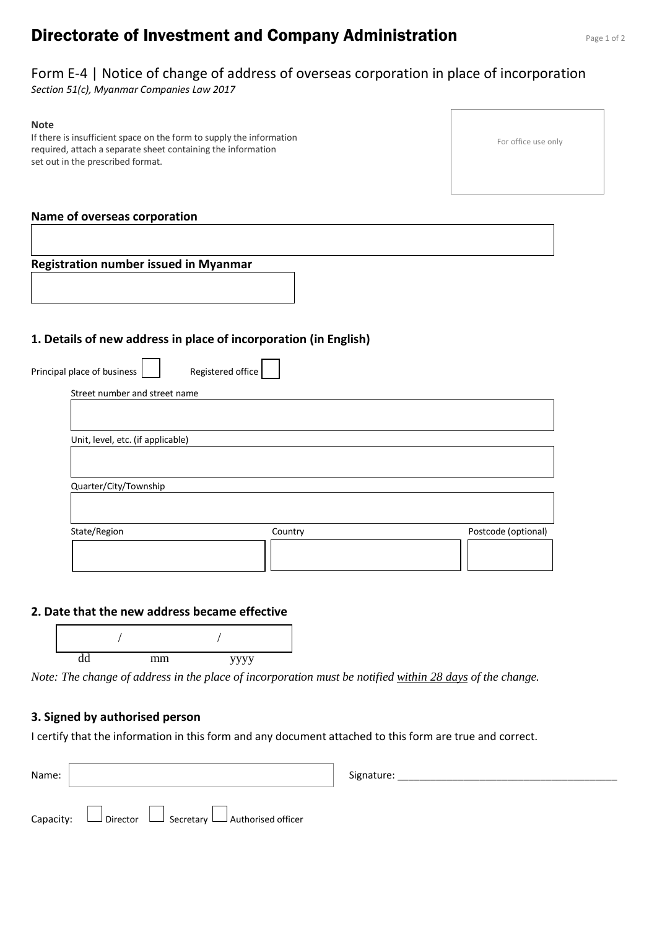# **Directorate of Investment and Company Administration** Page 1 of 2

# Form E-4 | Notice of change of address of overseas corporation in place of incorporation

*Section 51(c), Myanmar Companies Law 2017*

#### **Note**

If there is insufficient space on the form to supply the information required, attach a separate sheet containing the information set out in the prescribed format.

#### For office use only

### **Name of overseas corporation**

**Registration number issued in Myanmar**

 $\mathbf{r}$  $\overline{\phantom{0}}$ 

### **1. Details of new address in place of incorporation (in English)**

| Unit, level, etc. (if applicable) |  |
|-----------------------------------|--|
|                                   |  |
|                                   |  |
|                                   |  |
| Quarter/City/Township             |  |
|                                   |  |

 $\blacksquare$  $\overline{\phantom{0}}$ 

### **2. Date that the new address became effective**



*Note: The change of address in the place of incorporation must be notified within 28 days of the change.*

#### **3. Signed by authorised person**

I certify that the information in this form and any document attached to this form are true and correct.

| Name: |                                                                      | Signature: |
|-------|----------------------------------------------------------------------|------------|
|       | Capacity: $\Box$ Director $\Box$ Secretary $\Box$ Authorised officer |            |